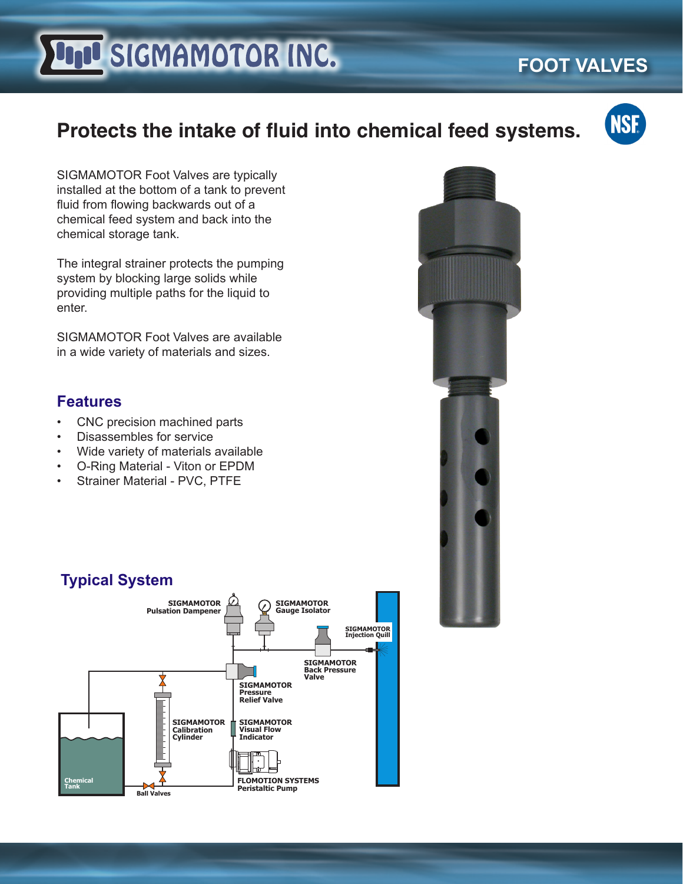# **LIJU SIGMAMOTOR INC.**

## **FOOT VALVES**

## **Protects the intake of fluid into chemical feed systems.**



SIGMAMOTOR Foot Valves are typically installed at the bottom of a tank to prevent fluid from flowing backwards out of a chemical feed system and back into the chemical storage tank.

The integral strainer protects the pumping system by blocking large solids while providing multiple paths for the liquid to enter.

SIGMAMOTOR Foot Valves are available in a wide variety of materials and sizes.

#### **Features**

- CNC precision machined parts
- Disassembles for service
- Wide variety of materials available
- O-Ring Material Viton or EPDM
- Strainer Material PVC, PTFE